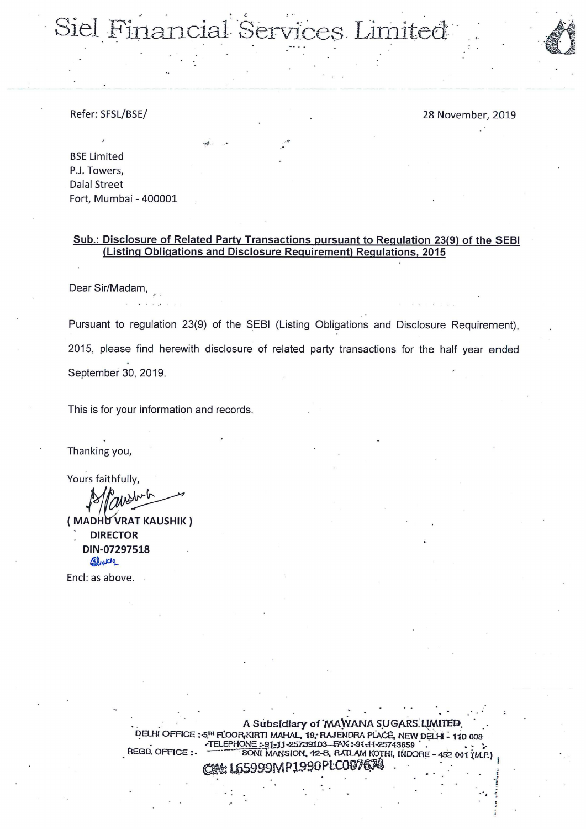Siel Financial Services Limited

Refer: SFSL/BSE/

28 November, 2019

**BSE Limited** P.J. Towers, **Dalal Street** Fort, Mumbai - 400001

#### Sub.: Disclosure of Related Party Transactions pursuant to Regulation 23(9) of the SEBI (Listing Obligations and Disclosure Requirement) Regulations, 2015

Dear Sir/Madam,

Pursuant to regulation 23(9) of the SEBI (Listing Obligations and Disclosure Requirement), 2015, please find herewith disclosure of related party transactions for the half year ended September 30, 2019.

This is for your information and records.

Thanking you,

Yours faithfully,

(MADHU VRAT KAUSHIK) **DIRECTOR** DIN-07297518 almore

Encl: as above. .

A Subsidiary of MAWANA SUGARS LIMITED. DELHI OFFICE: 5TH FLOOR KIRTI MAHAL, 19, RAJENDRA PLACE, NEW DELHI - 110 008 TELEPHONE: 91-11-25739103-FAX: 91-11-25743659 REGD. OFFICE: SONI MANSION, 12-B, RATLAM KOTHI, INDORE -AP1990PLC0076鸿